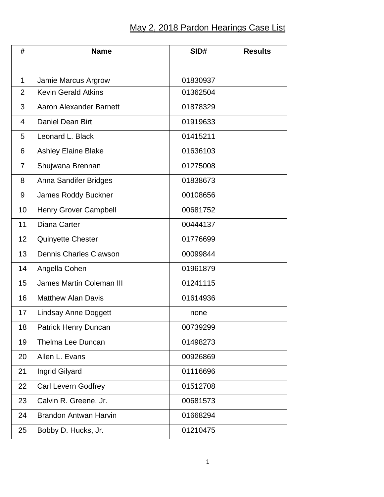## May 2, 2018 Pardon Hearings Case List

| #              | <b>Name</b>                     | SID#     | <b>Results</b> |
|----------------|---------------------------------|----------|----------------|
|                |                                 |          |                |
| 1              | Jamie Marcus Argrow             | 01830937 |                |
| $\overline{2}$ | <b>Kevin Gerald Atkins</b>      | 01362504 |                |
| 3              | <b>Aaron Alexander Barnett</b>  | 01878329 |                |
| $\overline{4}$ | Daniel Dean Birt                | 01919633 |                |
| 5              | Leonard L. Black                | 01415211 |                |
| 6              | <b>Ashley Elaine Blake</b>      | 01636103 |                |
| 7              | Shujwana Brennan                | 01275008 |                |
| 8              | Anna Sandifer Bridges           | 01838673 |                |
| 9              | <b>James Roddy Buckner</b>      | 00108656 |                |
| 10             | Henry Grover Campbell           | 00681752 |                |
| 11             | Diana Carter                    | 00444137 |                |
| 12             | <b>Quinyette Chester</b>        | 01776699 |                |
| 13             | <b>Dennis Charles Clawson</b>   | 00099844 |                |
| 14             | Angella Cohen                   | 01961879 |                |
| 15             | <b>James Martin Coleman III</b> | 01241115 |                |
| 16             | <b>Matthew Alan Davis</b>       | 01614936 |                |
| 17             | <b>Lindsay Anne Doggett</b>     | none     |                |
| 18             | Patrick Henry Duncan            | 00739299 |                |
| 19             | <b>Thelma Lee Duncan</b>        | 01498273 |                |
| 20             | Allen L. Evans                  | 00926869 |                |
| 21             | Ingrid Gilyard                  | 01116696 |                |
| 22             | <b>Carl Levern Godfrey</b>      | 01512708 |                |
| 23             | Calvin R. Greene, Jr.           | 00681573 |                |
| 24             | <b>Brandon Antwan Harvin</b>    | 01668294 |                |
| 25             | Bobby D. Hucks, Jr.             | 01210475 |                |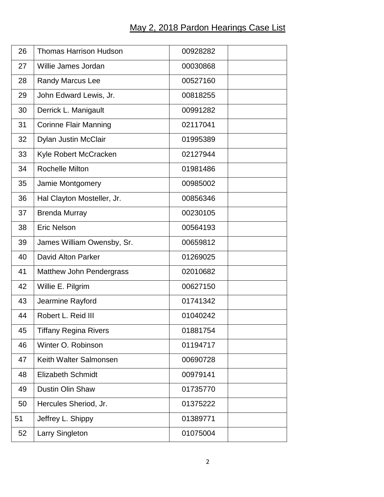## May 2, 2018 Pardon Hearings Case List

| 26 | <b>Thomas Harrison Hudson</b>   | 00928282 |  |
|----|---------------------------------|----------|--|
| 27 | Willie James Jordan             | 00030868 |  |
| 28 | Randy Marcus Lee                | 00527160 |  |
| 29 | John Edward Lewis, Jr.          | 00818255 |  |
| 30 | Derrick L. Manigault            | 00991282 |  |
| 31 | <b>Corinne Flair Manning</b>    | 02117041 |  |
| 32 | Dylan Justin McClair            | 01995389 |  |
| 33 | Kyle Robert McCracken           | 02127944 |  |
| 34 | <b>Rochelle Milton</b>          | 01981486 |  |
| 35 | Jamie Montgomery                | 00985002 |  |
| 36 | Hal Clayton Mosteller, Jr.      | 00856346 |  |
| 37 | <b>Brenda Murray</b>            | 00230105 |  |
| 38 | <b>Eric Nelson</b>              | 00564193 |  |
| 39 | James William Owensby, Sr.      | 00659812 |  |
| 40 | <b>David Alton Parker</b>       | 01269025 |  |
| 41 | <b>Matthew John Pendergrass</b> | 02010682 |  |
| 42 | Willie E. Pilgrim               | 00627150 |  |
| 43 | Jearmine Rayford                | 01741342 |  |
| 44 | Robert L. Reid III              | 01040242 |  |
| 45 | <b>Tiffany Regina Rivers</b>    | 01881754 |  |
| 46 | Winter O. Robinson              | 01194717 |  |
| 47 | Keith Walter Salmonsen          | 00690728 |  |
| 48 | <b>Elizabeth Schmidt</b>        | 00979141 |  |
| 49 | <b>Dustin Olin Shaw</b>         | 01735770 |  |
| 50 | Hercules Sheriod, Jr.           | 01375222 |  |
| 51 | Jeffrey L. Shippy               | 01389771 |  |
| 52 | Larry Singleton                 | 01075004 |  |